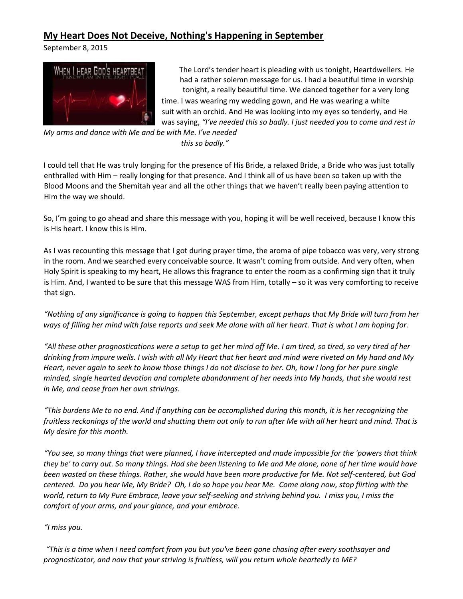## **My Heart Does Not Deceive, Nothing's Happening in September**

September 8, 2015



The Lord's tender heart is pleading with us tonight, Heartdwellers. He had a rather solemn message for us. I had a beautiful time in worship tonight, a really beautiful time. We danced together for a very long time. I was wearing my wedding gown, and He was wearing a white suit with an orchid. And He was looking into my eyes so tenderly, and He was saying, *"I've needed this so badly. I just needed you to come and rest in* 

*My arms and dance with Me and be with Me. I've needed this so badly."* 

I could tell that He was truly longing for the presence of His Bride, a relaxed Bride, a Bride who was just totally enthralled with Him – really longing for that presence. And I think all of us have been so taken up with the Blood Moons and the Shemitah year and all the other things that we haven't really been paying attention to Him the way we should.

So, I'm going to go ahead and share this message with you, hoping it will be well received, because I know this is His heart. I know this is Him.

As I was recounting this message that I got during prayer time, the aroma of pipe tobacco was very, very strong in the room. And we searched every conceivable source. It wasn't coming from outside. And very often, when Holy Spirit is speaking to my heart, He allows this fragrance to enter the room as a confirming sign that it truly is Him. And, I wanted to be sure that this message WAS from Him, totally – so it was very comforting to receive that sign.

*"Nothing of any significance is going to happen this September, except perhaps that My Bride will turn from her ways of filling her mind with false reports and seek Me alone with all her heart. That is what I am hoping for.* 

*"All these other prognostications were a setup to get her mind off Me. I am tired, so tired, so very tired of her drinking from impure wells. I wish with all My Heart that her heart and mind were riveted on My hand and My Heart, never again to seek to know those things I do not disclose to her. Oh, how I long for her pure single minded, single hearted devotion and complete abandonment of her needs into My hands, that she would rest in Me, and cease from her own strivings.* 

*"This burdens Me to no end. And if anything can be accomplished during this month, it is her recognizing the fruitless reckonings of the world and shutting them out only to run after Me with all her heart and mind. That is My desire for this month.* 

*"You see, so many things that were planned, I have intercepted and made impossible for the 'powers that think they be' to carry out. So many things. Had she been listening to Me and Me alone, none of her time would have been wasted on these things. Rather, she would have been more productive for Me. Not self-centered, but God centered. Do you hear Me, My Bride? Oh, I do so hope you hear Me. Come along now, stop flirting with the world, return to My Pure Embrace, leave your self-seeking and striving behind you. I miss you, I miss the comfort of your arms, and your glance, and your embrace.* 

## *"I miss you.*

*"This is a time when I need comfort from you but you've been gone chasing after every soothsayer and prognosticator, and now that your striving is fruitless, will you return whole heartedly to ME?*